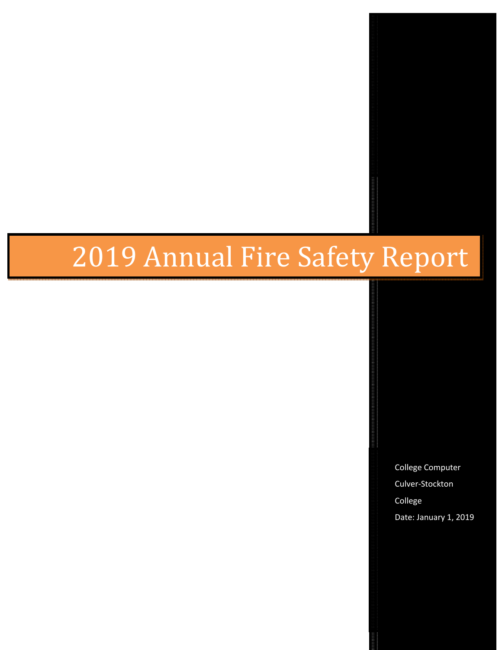# 2019 Annual Fire Safety Report

College Computer Culver-Stockton College Date: January 1, 2019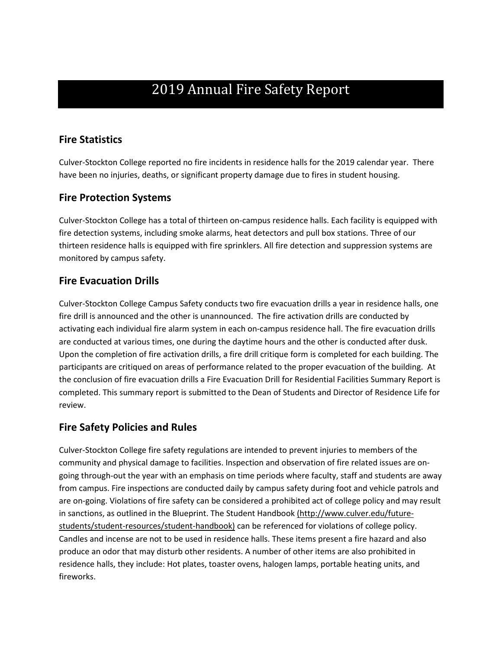## 2019 Annual Fire Safety Report

#### **Fire Statistics**

Culver-Stockton College reported no fire incidents in residence halls for the 2019 calendar year. There have been no injuries, deaths, or significant property damage due to fires in student housing.

#### **Fire Protection Systems**

Culver-Stockton College has a total of thirteen on-campus residence halls. Each facility is equipped with fire detection systems, including smoke alarms, heat detectors and pull box stations. Three of our thirteen residence halls is equipped with fire sprinklers. All fire detection and suppression systems are monitored by campus safety.

#### **Fire Evacuation Drills**

Culver-Stockton College Campus Safety conducts two fire evacuation drills a year in residence halls, one fire drill is announced and the other is unannounced. The fire activation drills are conducted by activating each individual fire alarm system in each on-campus residence hall. The fire evacuation drills are conducted at various times, one during the daytime hours and the other is conducted after dusk. Upon the completion of fire activation drills, a fire drill critique form is completed for each building. The participants are critiqued on areas of performance related to the proper evacuation of the building. At the conclusion of fire evacuation drills a Fire Evacuation Drill for Residential Facilities Summary Report is completed. This summary report is submitted to the Dean of Students and Director of Residence Life for review.

#### **Fire Safety Policies and Rules**

Culver-Stockton College fire safety regulations are intended to prevent injuries to members of the community and physical damage to facilities. Inspection and observation of fire related issues are ongoing through-out the year with an emphasis on time periods where faculty, staff and students are away from campus. Fire inspections are conducted daily by campus safety during foot and vehicle patrols and are on-going. Violations of fire safety can be considered a prohibited act of college policy and may result in sanctions, as outlined in the Blueprint. The Student Handbook (http://www.culver.edu/futurestudents/student-resources/student-handbook) can be referenced for violations of college policy. Candles and incense are not to be used in residence halls. These items present a fire hazard and also produce an odor that may disturb other residents. A number of other items are also prohibited in residence halls, they include: Hot plates, toaster ovens, halogen lamps, portable heating units, and fireworks.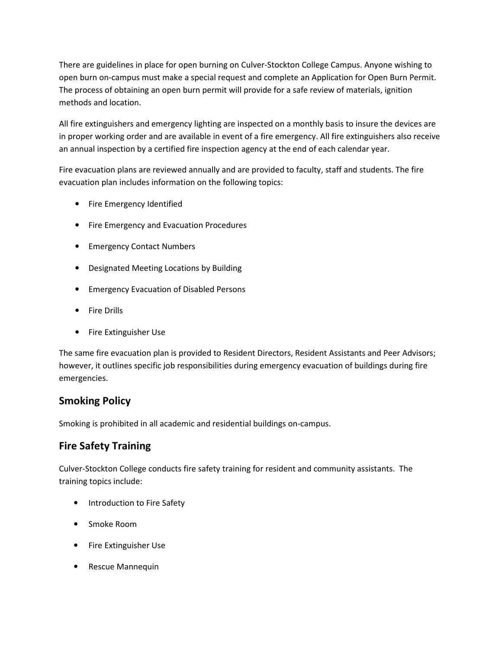There are guidelines in place for open burning on Culver-Stockton College Campus. Anyone wishing to open burn on-campus must make a special request and complete an Application for Open Burn Permit. The process of obtaining an open burn permit will provide for a safe review of materials, ignition methods and location.

All fire extinguishers and emergency lighting are inspected on a monthly basis to insure the devices are in proper working order and are available in event of a fire emergency. All fire extinguishers also receive an annual inspection by a certified fire inspection agency at the end of each calendar year.

Fire evacuation plans are reviewed annually and are provided to faculty, staff and students. The fire evacuation plan includes information on the following topics:

- Fire Emergency Identified
- Fire Emergency and Evacuation Procedures
- Emergency Contact Numbers
- Designated Meeting Locations by Building
- Emergency Evacuation of Disabled Persons
- Fire Drills
- Fire Extinguisher Use

The same fire evacuation plan is provided to Resident Directors, Resident Assistants and Peer Advisors; however, it outlines specific job responsibilities during emergency evacuation of buildings during fire emergencies.

#### **Smoking Policy**

Smoking is prohibited in all academic and residential buildings on-campus.

#### **Fire Safety Training**

Culver-Stockton College conducts fire safety training for resident and community assistants. The training topics include:

- Introduction to Fire Safety
- Smoke Room
- Fire Extinguisher Use
- Rescue Mannequin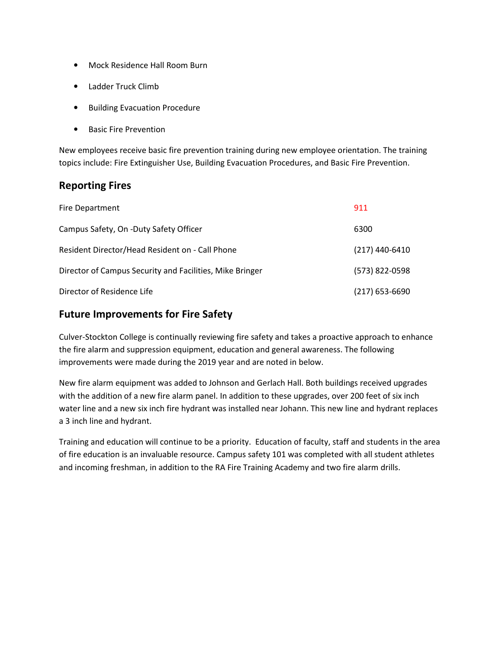- Mock Residence Hall Room Burn
- Ladder Truck Climb
- Building Evacuation Procedure
- Basic Fire Prevention

New employees receive basic fire prevention training during new employee orientation. The training topics include: Fire Extinguisher Use, Building Evacuation Procedures, and Basic Fire Prevention.

#### **Reporting Fires**

| <b>Fire Department</b>                                   | 911              |
|----------------------------------------------------------|------------------|
| Campus Safety, On -Duty Safety Officer                   | 6300             |
| Resident Director/Head Resident on - Call Phone          | $(217)$ 440-6410 |
| Director of Campus Security and Facilities, Mike Bringer | (573) 822-0598   |
| Director of Residence Life                               | $(217)$ 653-6690 |

#### **Future Improvements for Fire Safety**

Culver-Stockton College is continually reviewing fire safety and takes a proactive approach to enhance the fire alarm and suppression equipment, education and general awareness. The following improvements were made during the 2019 year and are noted in below.

New fire alarm equipment was added to Johnson and Gerlach Hall. Both buildings received upgrades with the addition of a new fire alarm panel. In addition to these upgrades, over 200 feet of six inch water line and a new six inch fire hydrant was installed near Johann. This new line and hydrant replaces a 3 inch line and hydrant.

Training and education will continue to be a priority. Education of faculty, staff and students in the area of fire education is an invaluable resource. Campus safety 101 was completed with all student athletes and incoming freshman, in addition to the RA Fire Training Academy and two fire alarm drills.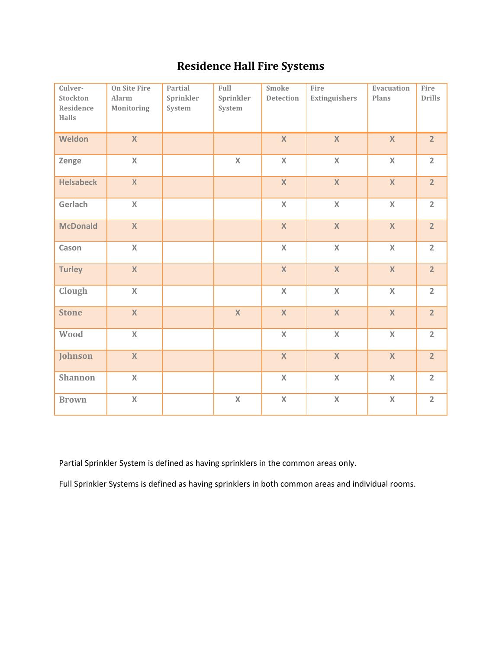### **Residence Hall Fire Systems**

| Culver-<br>Stockton<br>Residence<br><b>Halls</b> | <b>On Site Fire</b><br>Alarm<br>Monitoring | Partial<br>Sprinkler<br>System | Full<br>Sprinkler<br>System | <b>Smoke</b><br><b>Detection</b> | Fire<br>Extinguishers | Evacuation<br>Plans | Fire<br><b>Drills</b> |
|--------------------------------------------------|--------------------------------------------|--------------------------------|-----------------------------|----------------------------------|-----------------------|---------------------|-----------------------|
| Weldon                                           | $\overline{\mathsf{X}}$                    |                                |                             | $\mathsf{X}$                     | $\mathsf{X}$          | $\mathsf{X}$        | $\overline{2}$        |
| Zenge                                            | $\mathsf{X}$                               |                                | $\mathsf{X}$                | $\mathsf X$                      | $\mathsf{X}$          | $\mathsf X$         | $\overline{2}$        |
| <b>Helsabeck</b>                                 | $\mathsf{X}$                               |                                |                             | $\mathsf{X}$                     | $\mathsf{X}$          | $\mathsf{X}$        | 2 <sup>1</sup>        |
| Gerlach                                          | X                                          |                                |                             | $\mathsf X$                      | $\mathsf{X}$          | $\mathsf X$         | $\overline{2}$        |
| <b>McDonald</b>                                  | $\mathsf{X}$                               |                                |                             | $\mathsf X$                      | $\mathsf X$           | $\mathsf{X}$        | $\overline{2}$        |
| Cason                                            | $\mathsf{X}$                               |                                |                             | $\mathsf{X}$                     | $\mathsf{X}$          | $\mathsf X$         | $\overline{2}$        |
| <b>Turley</b>                                    | X                                          |                                |                             | $\mathsf{X}$                     | $\mathsf{X}$          | $\mathsf{X}$        | $\overline{2}$        |
| Clough                                           | $\mathsf{X}$                               |                                |                             | $\mathsf{X}$                     | $\mathsf{X}$          | $\mathsf{X}$        | $\overline{2}$        |
| <b>Stone</b>                                     | $\mathsf{X}$                               |                                | $\mathsf{X}$                | $\mathsf X$                      | $\mathbf X$           | $\mathsf X$         | $\overline{2}$        |
| Wood                                             | $\mathsf{X}$                               |                                |                             | $\mathsf{X}$                     | $\mathsf{X}$          | $\mathsf{X}$        | $\overline{2}$        |
| Johnson                                          | $\mathsf{X}$                               |                                |                             | $\mathsf X$                      | $\mathsf X$           | $\mathsf{X}$        | $\overline{2}$        |
| <b>Shannon</b>                                   | $\mathsf{X}$                               |                                |                             | $\mathsf{X}$                     | $\mathsf{X}$          | $\mathsf{X}$        | $\overline{2}$        |
| <b>Brown</b>                                     | $\mathsf{X}% _{0}$                         |                                | $\mathsf X$                 | $\mathsf{X}% _{0}$               | $\mathsf X$           | $\mathsf X$         | $\overline{2}$        |

Partial Sprinkler System is defined as having sprinklers in the common areas only.

Full Sprinkler Systems is defined as having sprinklers in both common areas and individual rooms.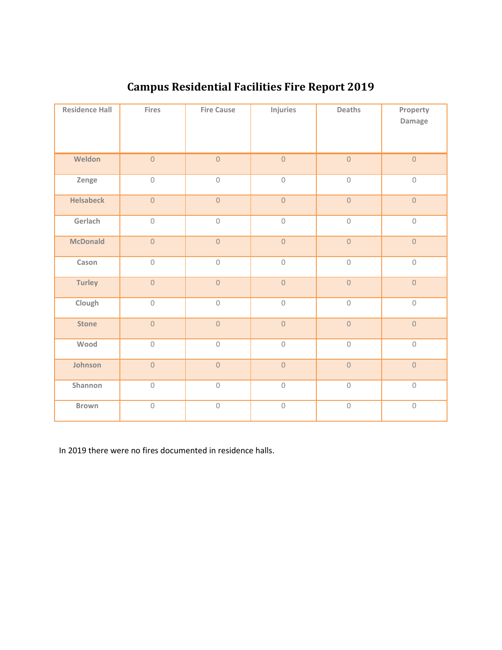| <b>Residence Hall</b> | Fires               | <b>Fire Cause</b>   | Injuries            | Deaths              | Property<br>Damage |
|-----------------------|---------------------|---------------------|---------------------|---------------------|--------------------|
| Weldon                | $\mathbf 0$         | $\mathsf{O}\xspace$ | $\mathsf{O}\xspace$ | $\mathbf 0$         | $\overline{0}$     |
| Zenge                 | $\mathsf{O}$        | $\mathsf O$         | $\mathsf{O}\xspace$ | $\mathsf{O}$        | $\mathsf{O}$       |
| <b>Helsabeck</b>      | $\mathsf{O}\xspace$ | $\mathsf{O}\xspace$ | $\mathsf{O}\xspace$ | $\mathsf{O}\xspace$ | $\overline{0}$     |
| Gerlach               | $\mathsf{O}\xspace$ | $\mathsf{O}\xspace$ | $\mathsf{O}\xspace$ | $\mathbb O$         | $\mathsf{O}$       |
| <b>McDonald</b>       | $\mathsf{O}\xspace$ | $\mathsf{O}\xspace$ | $\mathsf{O}\xspace$ | $\mathsf{O}\xspace$ | $\overline{0}$     |
| Cason                 | $\mathbf 0$         | $\mathsf{O}\xspace$ | $\mathsf{O}\xspace$ | $\mathsf{O}\xspace$ | $\mathbf 0$        |
| Turley                | $\mathsf{O}\xspace$ | $\mathsf{O}\xspace$ | $\mathsf{O}\xspace$ | $\mathsf{O}\xspace$ | $\overline{0}$     |
| Clough                | $\mathsf{O}\xspace$ | $\mathsf{O}\xspace$ | $\mathsf{O}\xspace$ | $\mathbb O$         | $\mathbf 0$        |
| <b>Stone</b>          | $\mathsf{O}\xspace$ | $\mathsf{O}\xspace$ | $\mathsf{O}\xspace$ | $\mathsf{O}\xspace$ | $\circ$            |
| Wood                  | $\mathsf{O}\xspace$ | $\mathsf{O}\xspace$ | $\mathsf{O}\xspace$ | $\mathbb O$         | $\mathbf 0$        |
| Johnson               | $\mathsf{O}\xspace$ | $\mathsf{O}\xspace$ | $\mathsf{O}\xspace$ | $\mathsf{O}\xspace$ | $\circ$            |
| Shannon               | $\mathsf{O}\xspace$ | $\mathsf{O}\xspace$ | $\mathbb O$         | $\mathcal O$        | $\mathbf 0$        |
| Brown                 | $\mathsf{O}\xspace$ | $\mathsf{O}\xspace$ | $\mathbb O$         | $\mathcal O$        | $\mathcal O$       |

## **Campus Residential Facilities Fire Report 2019**

In 2019 there were no fires documented in residence halls.